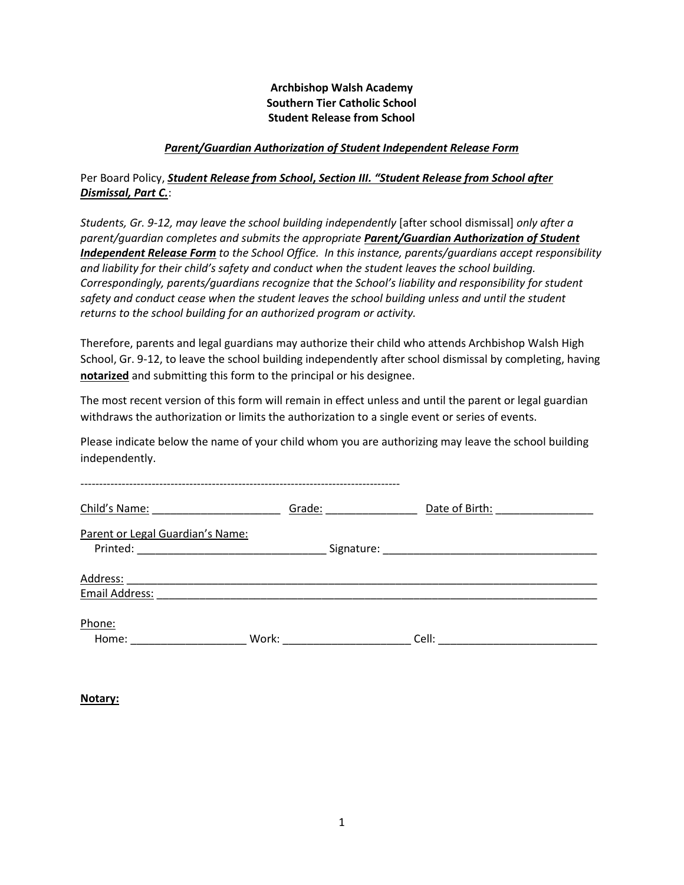## **Archbishop Walsh Academy Southern Tier Catholic School Student Release from School**

## *Parent/Guardian Authorization of Student Independent Release Form*

## Per Board Policy, *Student Release from School***,** *Section III. "Student Release from School after Dismissal, Part C.*:

*Students, Gr. 9-12, may leave the school building independently* [after school dismissal] *only after a parent/guardian completes and submits the appropriate Parent/Guardian Authorization of Student Independent Release Form to the School Office. In this instance, parents/guardians accept responsibility and liability for their child's safety and conduct when the student leaves the school building. Correspondingly, parents/guardians recognize that the School's liability and responsibility for student safety and conduct cease when the student leaves the school building unless and until the student returns to the school building for an authorized program or activity.*

Therefore, parents and legal guardians may authorize their child who attends Archbishop Walsh High School, Gr. 9-12, to leave the school building independently after school dismissal by completing, having **notarized** and submitting this form to the principal or his designee.

The most recent version of this form will remain in effect unless and until the parent or legal guardian withdraws the authorization or limits the authorization to a single event or series of events.

Please indicate below the name of your child whom you are authorizing may leave the school building independently.

| Child's Name:                                | Grade:     | Date of Birth: |
|----------------------------------------------|------------|----------------|
| Parent or Legal Guardian's Name:<br>Printed: | Signature: |                |
| Address:<br>Email Address:                   |            |                |
|                                              |            |                |
| Phone:<br>Work:<br>Home:                     |            | Cell:          |

**Notary:**